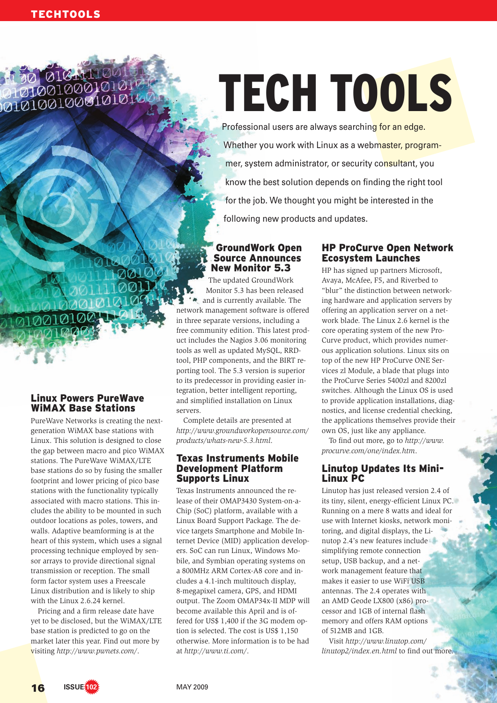# 010-11

# TECH TOOLS

Professional users are always searching for an edge. Whether you work with Linux as a webmaster, programmer, system administrator, or security consultant, you know the best solution depends on finding the right tool for the job. We thought you might be interested in the following new products and updates.

### **GroundWork Open Source Announces New Monitor 5.3**

The updated GroundWork Monitor 5.3 has been released • and is currently available. The network management software is offered in three separate versions, including a free community edition. This latest product includes the Nagios 3.06 monitoring tools as well as updated MySQL, RRDtool, PHP components, and the BIRT reporting tool. The 5.3 version is superior to its predecessor in providing easier integration, better intelligent reporting, and simplified installation on Linux servers.

Complete details are presented at *http:// www. groundworkopensource. com/ products/ whats-new-5. 3. html*.

#### Texas Instruments Mobile Development Platform **Supports Linux**

Texas Instruments announced the release of their OMAP3430 System-on-a-Chip (SoC) platform, available with a Linux Board Support Package. The device targets Smartphone and Mobile Internet Device (MID) application developers. SoC can run Linux, Windows Mobile, and Symbian operating systems on a 800MHz ARM Cortex-A8 core and includes a 4.1-inch multitouch display, 8-megapixel camera, GPS, and HDMI output. The Zoom OMAP34x-II MDP will become available this April and is offered for US\$ 1,400 if the 3G modem option is selected. The cost is US\$ 1,150 otherwise. More information is to be had at *http:// www. ti. com/*.

# **HP ProCurve Open Network** Ecosystem Launches

HP has signed up partners Microsoft, Avaya, McAfee, F5, and Riverbed to "blur" the distinction between networking hardware and application servers by offering an application server on a network blade. The Linux 2.6 kernel is the core operating system of the new Pro-Curve product, which provides numerous application solutions. Linux sits on top of the new HP ProCurve ONE Services zl Module, a blade that plugs into the ProCurve Series 5400zl and 8200zl switches. Although the Linux OS is used to provide application installations, diagnostics, and license credential checking, the applications themselves provide their own OS, just like any appliance.

To find out more, go to *http:// www. procurve. com/ one/ index. htm*.

# Linutop Updates Its Mini-**Linux PC**

Linutop has just released version 2.4 of its tiny, silent, energy-efficient Linux PC. Running on a mere 8 watts and ideal for use with Internet kiosks, network monitoring, and digital displays, the Linutop 2.4's new features include simplifying remote connection setup, USB backup, and a network management feature that makes it easier to use WiFi USB antennas. The 2.4 operates with an AMD Geode LX800 (x86) processor and 1GB of internal flash memory and offers RAM options of 512MB and 1GB.

Visit *http:// www. linutop. com/ linutop2/ index. en. html* to find out more.

# Linux Powers PureWave **WIMAX Base Stations**

PureWave Networks is creating the nextgeneration WiMAX base stations with Linux. This solution is designed to close the gap between macro and pico WiMAX stations. The PureWave WiMAX/LTE base stations do so by fusing the smaller footprint and lower pricing of pico base stations with the functionality typically associated with macro stations. This includes the ability to be mounted in such outdoor locations as poles, towers, and walls. Adaptive beamforming is at the heart of this system, which uses a signal processing technique employed by sensor arrays to provide directional signal transmission or reception. The small form factor system uses a Freescale Linux distribution and is likely to ship with the Linux 2.6.24 kernel.

Pricing and a firm release date have yet to be disclosed, but the WiMAX/LTE base station is predicted to go on the market later this year. Find out more by visiting *http:// www. pwnets. com/*.